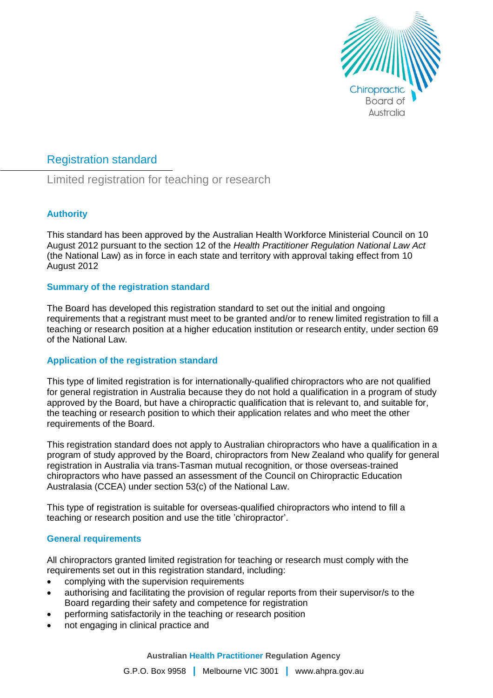

# Registration standard

Limited registration for teaching or research

## **Authority**

This standard has been approved by the Australian Health Workforce Ministerial Council on 10 August 2012 pursuant to the section 12 of the *Health Practitioner Regulation National Law Act* (the National Law) as in force in each state and territory with approval taking effect from 10 August 2012

## **Summary of the registration standard**

The Board has developed this registration standard to set out the initial and ongoing requirements that a registrant must meet to be granted and/or to renew limited registration to fill a teaching or research position at a higher education institution or research entity, under section 69 of the National Law.

## **Application of the registration standard**

This type of limited registration is for internationally-qualified chiropractors who are not qualified for general registration in Australia because they do not hold a qualification in a program of study approved by the Board, but have a chiropractic qualification that is relevant to, and suitable for, the teaching or research position to which their application relates and who meet the other requirements of the Board.

This registration standard does not apply to Australian chiropractors who have a qualification in a program of study approved by the Board, chiropractors from New Zealand who qualify for general registration in Australia via trans-Tasman mutual recognition, or those overseas-trained chiropractors who have passed an assessment of the Council on Chiropractic Education Australasia (CCEA) under section 53(c) of the National Law.

This type of registration is suitable for overseas-qualified chiropractors who intend to fill a teaching or research position and use the title 'chiropractor'.

## **General requirements**

All chiropractors granted limited registration for teaching or research must comply with the requirements set out in this registration standard, including:

- complying with the supervision requirements
- authorising and facilitating the provision of regular reports from their supervisor/s to the Board regarding their safety and competence for registration
- performing satisfactorily in the teaching or research position
- not engaging in clinical practice and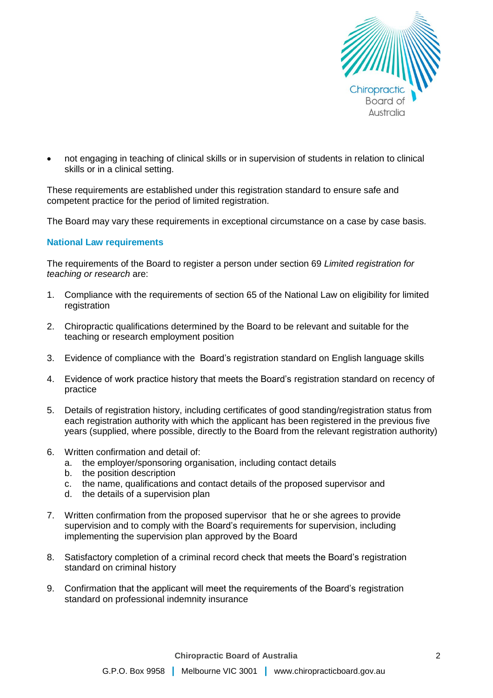

 not engaging in teaching of clinical skills or in supervision of students in relation to clinical skills or in a clinical setting.

These requirements are established under this registration standard to ensure safe and competent practice for the period of limited registration.

The Board may vary these requirements in exceptional circumstance on a case by case basis.

#### **National Law requirements**

The requirements of the Board to register a person under section 69 *Limited registration for teaching or research* are:

- 1. Compliance with the requirements of section 65 of the National Law on eligibility for limited registration
- 2. Chiropractic qualifications determined by the Board to be relevant and suitable for the teaching or research employment position
- 3. Evidence of compliance with the Board's registration standard on English language skills
- 4. Evidence of work practice history that meets the Board's registration standard on recency of practice
- 5. Details of registration history, including certificates of good standing/registration status from each registration authority with which the applicant has been registered in the previous five years (supplied, where possible, directly to the Board from the relevant registration authority)
- 6. Written confirmation and detail of:
	- a. the employer/sponsoring organisation, including contact details
	- b. the position description
	- c. the name, qualifications and contact details of the proposed supervisor and
	- d. the details of a supervision plan
- 7. Written confirmation from the proposed supervisor that he or she agrees to provide supervision and to comply with the Board's requirements for supervision, including implementing the supervision plan approved by the Board
- 8. Satisfactory completion of a criminal record check that meets the Board's registration standard on criminal history
- 9. Confirmation that the applicant will meet the requirements of the Board's registration standard on professional indemnity insurance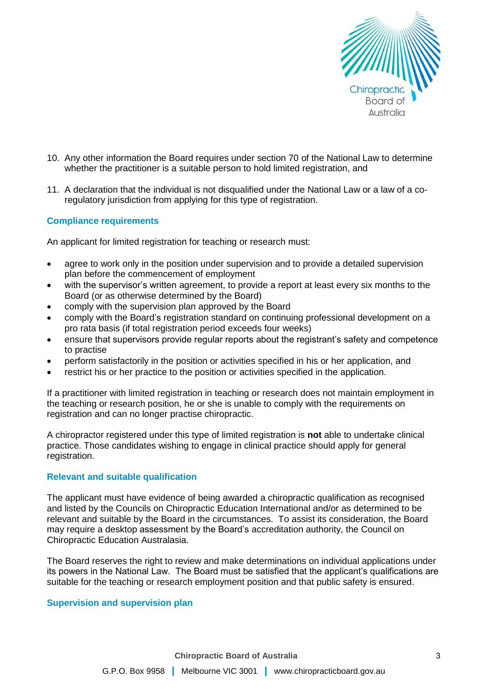

- 10. Any other information the Board requires under section 70 of the National Law to determine whether the practitioner is a suitable person to hold limited registration, and
- 11. A declaration that the individual is not disqualified under the National Law or a law of a coregulatory jurisdiction from applying for this type of registration.

## **Compliance requirements**

An applicant for limited registration for teaching or research must:

- agree to work only in the position under supervision and to provide a detailed supervision plan before the commencement of employment
- with the supervisor's written agreement, to provide a report at least every six months to the Board (or as otherwise determined by the Board)
- comply with the supervision plan approved by the Board
- comply with the Board's registration standard on continuing professional development on a pro rata basis (if total registration period exceeds four weeks)
- ensure that supervisors provide regular reports about the registrant's safety and competence to practise
- perform satisfactorily in the position or activities specified in his or her application, and
- restrict his or her practice to the position or activities specified in the application.

If a practitioner with limited registration in teaching or research does not maintain employment in the teaching or research position, he or she is unable to comply with the requirements on registration and can no longer practise chiropractic.

A chiropractor registered under this type of limited registration is **not** able to undertake clinical practice. Those candidates wishing to engage in clinical practice should apply for general registration.

#### **Relevant and suitable qualification**

The applicant must have evidence of being awarded a chiropractic qualification as recognised and listed by the Councils on Chiropractic Education International and/or as determined to be relevant and suitable by the Board in the circumstances. To assist its consideration, the Board may require a desktop assessment by the Board's accreditation authority, the Council on Chiropractic Education Australasia.

The Board reserves the right to review and make determinations on individual applications under its powers in the National Law. The Board must be satisfied that the applicant's qualifications are suitable for the teaching or research employment position and that public safety is ensured.

#### **Supervision and supervision plan**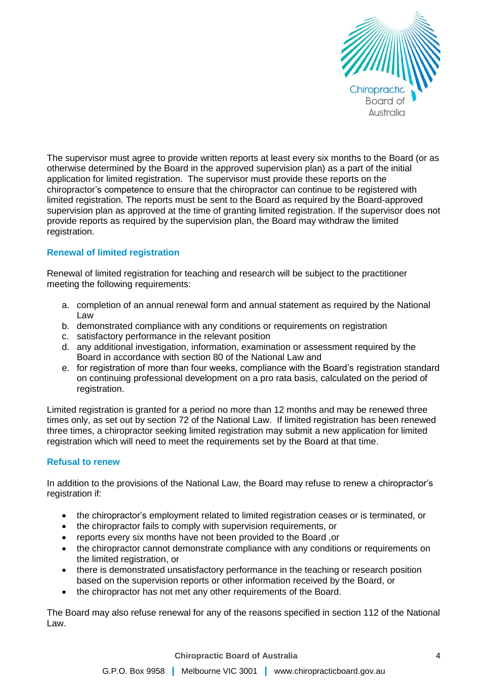

The supervisor must agree to provide written reports at least every six months to the Board (or as otherwise determined by the Board in the approved supervision plan) as a part of the initial application for limited registration. The supervisor must provide these reports on the chiropractor's competence to ensure that the chiropractor can continue to be registered with limited registration. The reports must be sent to the Board as required by the Board-approved supervision plan as approved at the time of granting limited registration. If the supervisor does not provide reports as required by the supervision plan, the Board may withdraw the limited registration.

## **Renewal of limited registration**

Renewal of limited registration for teaching and research will be subject to the practitioner meeting the following requirements:

- a. completion of an annual renewal form and annual statement as required by the National Law
- b. demonstrated compliance with any conditions or requirements on registration
- c. satisfactory performance in the relevant position
- d. any additional investigation, information, examination or assessment required by the Board in accordance with section 80 of the National Law and
- e. for registration of more than four weeks, compliance with the Board's registration standard on continuing professional development on a pro rata basis, calculated on the period of registration.

Limited registration is granted for a period no more than 12 months and may be renewed three times only, as set out by section 72 of the National Law. If limited registration has been renewed three times, a chiropractor seeking limited registration may submit a new application for limited registration which will need to meet the requirements set by the Board at that time.

## **Refusal to renew**

In addition to the provisions of the National Law, the Board may refuse to renew a chiropractor's registration if:

- the chiropractor's employment related to limited registration ceases or is terminated, or
- the chiropractor fails to comply with supervision requirements, or
- reports every six months have not been provided to the Board ,or
- the chiropractor cannot demonstrate compliance with any conditions or requirements on the limited registration, or
- there is demonstrated unsatisfactory performance in the teaching or research position based on the supervision reports or other information received by the Board, or
- the chiropractor has not met any other requirements of the Board.

The Board may also refuse renewal for any of the reasons specified in section 112 of the National Law.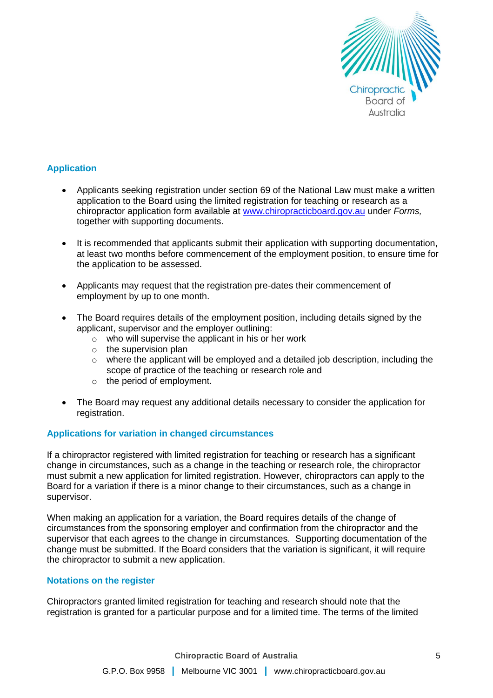

## **Application**

- Applicants seeking registration under section 69 of the National Law must make a written application to the Board using the limited registration for teaching or research as a chiropractor application form available at [www.chiropracticboard.gov.au](http://www.chiropracticboard.gov.au/) under *Forms,*  together with supporting documents.
- It is recommended that applicants submit their application with supporting documentation, at least two months before commencement of the employment position, to ensure time for the application to be assessed.
- Applicants may request that the registration pre-dates their commencement of employment by up to one month.
- The Board requires details of the employment position, including details signed by the applicant, supervisor and the employer outlining:
	- o who will supervise the applicant in his or her work
	- $\circ$  the supervision plan
	- $\circ$  where the applicant will be employed and a detailed job description, including the scope of practice of the teaching or research role and
	- o the period of employment.
- The Board may request any additional details necessary to consider the application for registration.

## **Applications for variation in changed circumstances**

If a chiropractor registered with limited registration for teaching or research has a significant change in circumstances, such as a change in the teaching or research role, the chiropractor must submit a new application for limited registration. However, chiropractors can apply to the Board for a variation if there is a minor change to their circumstances, such as a change in supervisor.

When making an application for a variation, the Board requires details of the change of circumstances from the sponsoring employer and confirmation from the chiropractor and the supervisor that each agrees to the change in circumstances. Supporting documentation of the change must be submitted. If the Board considers that the variation is significant, it will require the chiropractor to submit a new application.

## **Notations on the register**

Chiropractors granted limited registration for teaching and research should note that the registration is granted for a particular purpose and for a limited time. The terms of the limited